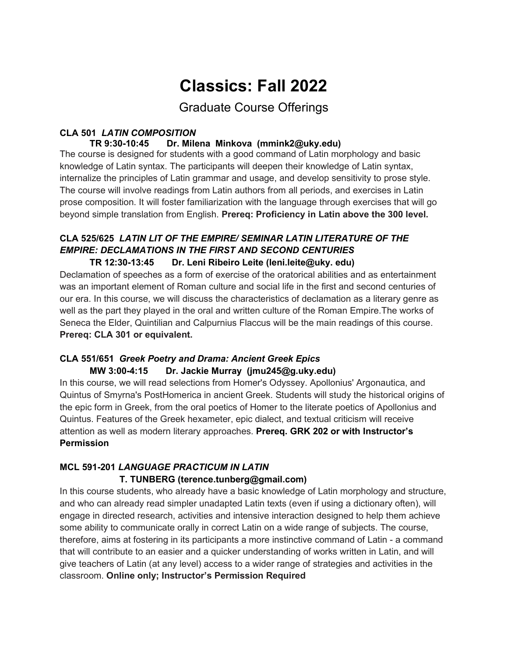# **Classics: Fall 2022**

Graduate Course Offerings

# **CLA 501** *LATIN COMPOSITION*

### Dr. Milena Minkova (mmink2@uky.edu)

The course is designed for students with a good command of Latin morphology and basic knowledge of Latin syntax. The participants will deepen their knowledge of Latin syntax, internalize the principles of Latin grammar and usage, and develop sensitivity to prose style. The course will involve readings from Latin authors from all periods, and exercises in Latin prose composition. It will foster familiarization with the language through exercises that will go beyond simple translation from English. **Prereq: Proficiency in Latin above the 300 level.**

## **CLA 525/625** *LATIN LIT OF THE EMPIRE/ SEMINAR LATIN LITERATURE OF THE EMPIRE: DECLAMATIONS IN THE FIRST AND SECOND CENTURIES*

#### **TR 12:30-13:45 Dr. Leni Ribeiro Leite (leni.leite@uky. edu)**

Declamation of speeches as a form of exercise of the oratorical abilities and as entertainment was an important element of Roman culture and social life in the first and second centuries of our era. In this course, we will discuss the characteristics of declamation as a literary genre as well as the part they played in the oral and written culture of the Roman Empire.The works of Seneca the Elder, Quintilian and Calpurnius Flaccus will be the main readings of this course. **Prereq: CLA 301 or equivalent.**

#### **CLA 551/651** *Greek Poetry and Drama: Ancient Greek Epics* **MW 3:00-4:15 Dr. Jackie Murray (jmu245@g.uky.edu)**

In this course, we will read selections from Homer's Odyssey. Apollonius' Argonautica, and Quintus of Smyrna's PostHomerica in ancient Greek. Students will study the historical origins of the epic form in Greek, from the oral poetics of Homer to the literate poetics of Apollonius and Quintus. Features of the Greek hexameter, epic dialect, and textual criticism will receive attention as well as modern literary approaches. **Prereq. GRK 202 or with Instructor's Permission**

#### **MCL 591-201** *LANGUAGE PRACTICUM IN LATIN*  **T. TUNBERG (terence.tunberg@gmail.com)**

In this course students, who already have a basic knowledge of Latin morphology and structure, and who can already read simpler unadapted Latin texts (even if using a dictionary often), will engage in directed research, activities and intensive interaction designed to help them achieve some ability to communicate orally in correct Latin on a wide range of subjects. The course, therefore, aims at fostering in its participants a more instinctive command of Latin - a command that will contribute to an easier and a quicker understanding of works written in Latin, and will give teachers of Latin (at any level) access to a wider range of strategies and activities in the classroom. **Online only; Instructor's Permission Required**